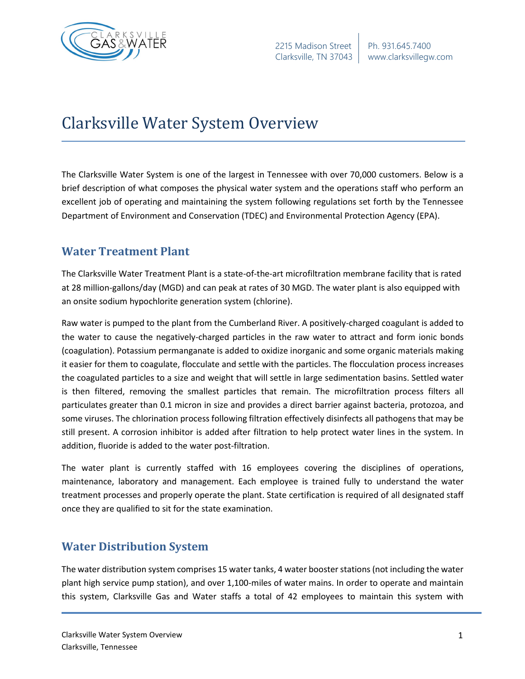

## Clarksville Water System Overview

The Clarksville Water System is one of the largest in Tennessee with over 70,000 customers. Below is a brief description of what composes the physical water system and the operations staff who perform an excellent job of operating and maintaining the system following regulations set forth by the Tennessee Department of Environment and Conservation (TDEC) and Environmental Protection Agency (EPA).

## **Water Treatment Plant**

The Clarksville Water Treatment Plant is a state-of-the-art microfiltration membrane facility that is rated at 28 million-gallons/day (MGD) and can peak at rates of 30 MGD. The water plant is also equipped with an onsite sodium hypochlorite generation system (chlorine).

Raw water is pumped to the plant from the Cumberland River. A positively-charged coagulant is added to the water to cause the negatively-charged particles in the raw water to attract and form ionic bonds (coagulation). Potassium permanganate is added to oxidize inorganic and some organic materials making it easier for them to coagulate, flocculate and settle with the particles. The flocculation process increases the coagulated particles to a size and weight that will settle in large sedimentation basins. Settled water is then filtered, removing the smallest particles that remain. The microfiltration process filters all particulates greater than 0.1 micron in size and provides a direct barrier against bacteria, protozoa, and some viruses. The chlorination process following filtration effectively disinfects all pathogens that may be still present. A corrosion inhibitor is added after filtration to help protect water lines in the system. In addition, fluoride is added to the water post-filtration.

The water plant is currently staffed with 16 employees covering the disciplines of operations, maintenance, laboratory and management. Each employee is trained fully to understand the water treatment processes and properly operate the plant. State certification is required of all designated staff once they are qualified to sit for the state examination.

## **Water Distribution System**

The water distribution system comprises 15 water tanks, 4 water booster stations (not including the water plant high service pump station), and over 1,100-miles of water mains. In order to operate and maintain this system, Clarksville Gas and Water staffs a total of 42 employees to maintain this system with